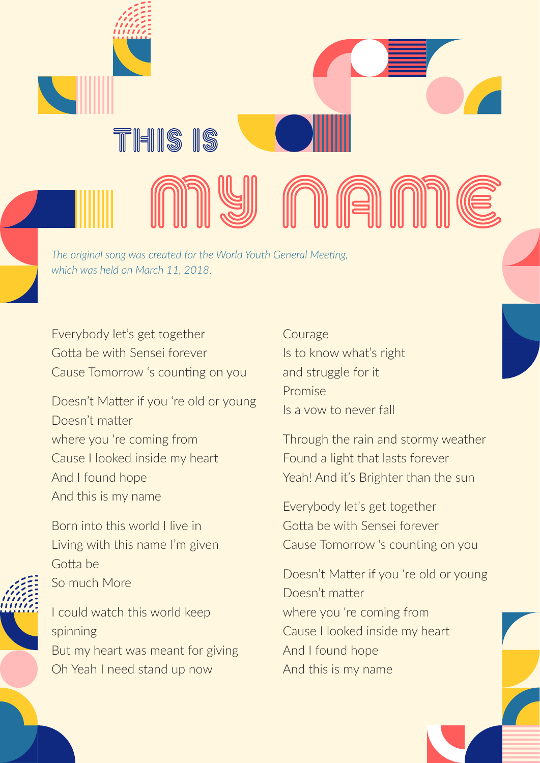*The original song was created for the World Youth General Meeting, which was held on March 11, 2018.*

Everybody let's get together Gotta be with Sensei forever Cause Tomorrow 's counting on you

THIS IS

Doesn't Matter if you 're old or young Doesn't matter where you 're coming from Cause I looked inside my heart And I found hope And this is my name

Born into this world I live in Living with this name I'm given Gotta be So much More

I could watch this world keep spinning But my heart was meant for giving Oh Yeah I need stand up now

**Courage** Is to know what's right and struggle for it Promise Is a vow to never fall

n a ni

Through the rain and stormy weather Found a light that lasts forever Yeah! And it's Brighter than the sun

Everybody let's get together Gotta be with Sensei forever Cause Tomorrow 's counting on you

Doesn't Matter if you 're old or young Doesn't matter where you 're coming from Cause I looked inside my heart And I found hope And this is my name